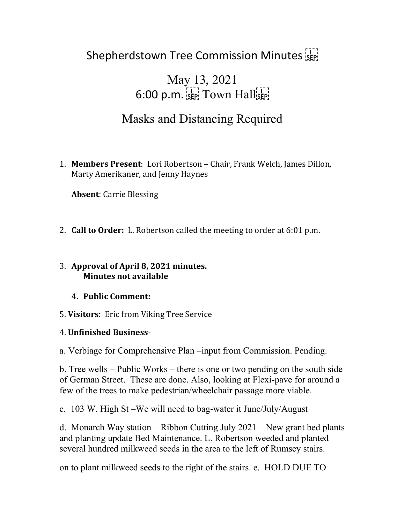# Shepherdstown Tree Commission Minutes

# May 13, 2021  $6:00$  p.m.  $s_{\text{EP}}$  Town Hall $s_{\text{EP}}$

# Masks and Distancing Required

1. **Members Present**: Lori Robertson – Chair, Frank Welch, James Dillon, Marty Amerikaner, and Jenny Haynes

**Absent**: Carrie Blessing

2. **Call to Order:** L. Robertson called the meeting to order at 6:01 p.m.

#### 3. **Approval of April 8, 2021 minutes. Minutes not available**

#### **4. Public Comment:**

5. **Visitors**: Eric from Viking Tree Service

### 4. **Unfinished Business**-

a. Verbiage for Comprehensive Plan –input from Commission. Pending.

b. Tree wells – Public Works – there is one or two pending on the south side of German Street. These are done. Also, looking at Flexi-pave for around a few of the trees to make pedestrian/wheelchair passage more viable.

c. 103 W. High St –We will need to bag-water it June/July/August

d. Monarch Way station – Ribbon Cutting July 2021 – New grant bed plants and planting update Bed Maintenance. L. Robertson weeded and planted several hundred milkweed seeds in the area to the left of Rumsey stairs.

on to plant milkweed seeds to the right of the stairs. e. HOLD DUE TO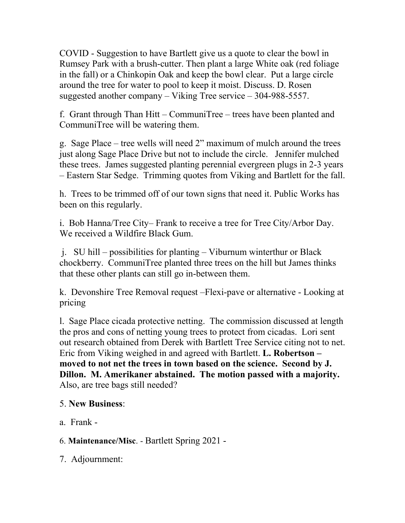COVID - Suggestion to have Bartlett give us a quote to clear the bowl in Rumsey Park with a brush-cutter. Then plant a large White oak (red foliage in the fall) or a Chinkopin Oak and keep the bowl clear. Put a large circle around the tree for water to pool to keep it moist. Discuss. D. Rosen suggested another company – Viking Tree service – 304-988-5557.

f. Grant through Than Hitt – CommuniTree – trees have been planted and CommuniTree will be watering them.

g. Sage Place – tree wells will need 2" maximum of mulch around the trees just along Sage Place Drive but not to include the circle. Jennifer mulched these trees. James suggested planting perennial evergreen plugs in 2-3 years – Eastern Star Sedge. Trimming quotes from Viking and Bartlett for the fall.

h. Trees to be trimmed off of our town signs that need it. Public Works has been on this regularly.

i. Bob Hanna/Tree City– Frank to receive a tree for Tree City/Arbor Day. We received a Wildfire Black Gum.

j. SU hill – possibilities for planting – Viburnum winterthur or Black chockberry. CommuniTree planted three trees on the hill but James thinks that these other plants can still go in-between them.

k. Devonshire Tree Removal request –Flexi-pave or alternative - Looking at pricing

l. Sage Place cicada protective netting. The commission discussed at length the pros and cons of netting young trees to protect from cicadas. Lori sent out research obtained from Derek with Bartlett Tree Service citing not to net. Eric from Viking weighed in and agreed with Bartlett. **L. Robertson – moved to not net the trees in town based on the science. Second by J. Dillon. M. Amerikaner abstained. The motion passed with a majority.**  Also, are tree bags still needed?

### 5. **New Business**:

a. Frank -

6. **Maintenance/Misc**. - Bartlett Spring 2021 -

7. Adjournment: